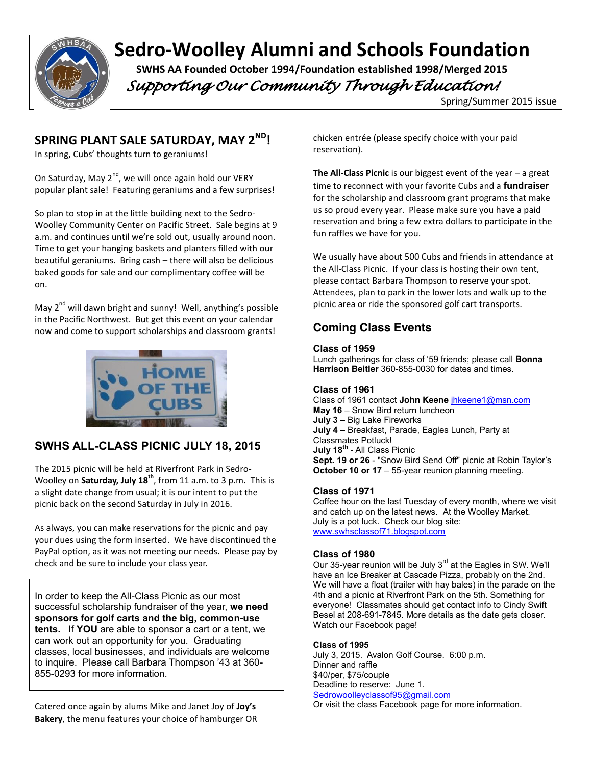

# **Sedro-Woolley Alumni and Schools Foundation** SWHS AA Founded October 1994/Foundation established 1998/Merged 2015

 *Supporting Our Community Through Education!* 

Spring/Summer 2015 issue

# **SPRING PLANT SALE SATURDAY, MAY 2ND!**

In spring, Cubs' thoughts turn to geraniums!

On Saturday, May  $2^{nd}$ , we will once again hold our VERY popular plant sale! Featuring geraniums and a few surprises!

So plan to stop in at the little building next to the Sedro-Woolley Community Center on Pacific Street. Sale begins at 9 a.m. and continues until we're sold out, usually around noon. Time to get your hanging baskets and planters filled with our beautiful geraniums. Bring cash – there will also be delicious baked goods for sale and our complimentary coffee will be on.

May 2<sup>nd</sup> will dawn bright and sunny! Well, anything's possible in the Pacific Northwest. But get this event on your calendar now and come to support scholarships and classroom grants!



# **SWHS ALL-CLASS PICNIC JULY 18, 2015**

The 2015 picnic will be held at Riverfront Park in Sedro-Woolley on **Saturday, July 18th**, from 11 a.m. to 3 p.m. This is a slight date change from usual; it is our intent to put the picnic back on the second Saturday in July in 2016.

As always, you can make reservations for the picnic and pay your dues using the form inserted. We have discontinued the PayPal option, as it was not meeting our needs. Please pay by check and be sure to include your class year.

In order to keep the All-Class Picnic as our most successful scholarship fundraiser of the year, **we need sponsors for golf carts and the big, common-use tents.** If **YOU** are able to sponsor a cart or a tent, we can work out an opportunity for you. Graduating classes, local businesses, and individuals are welcome to inquire. Please call Barbara Thompson '43 at 360- 855-0293 for more information.

Catered once again by alums Mike and Janet Joy of **Joy's Bakery**, the menu features your choice of hamburger OR chicken entrée (please specify choice with your paid reservation).

**The All-Class Picnic** is our biggest event of the year – a great time to reconnect with your favorite Cubs and a **fundraiser** for the scholarship and classroom grant programs that make us so proud every year. Please make sure you have a paid reservation and bring a few extra dollars to participate in the fun raffles we have for you.

We usually have about 500 Cubs and friends in attendance at the All-Class Picnic. If your class is hosting their own tent, please contact Barbara Thompson to reserve your spot. Attendees, plan to park in the lower lots and walk up to the picnic area or ride the sponsored golf cart transports.

# **Coming Class Events**

#### **Class of 1959**

Lunch gatherings for class of '59 friends; please call **Bonna Harrison Beitler** 360-855-0030 for dates and times.

#### **Class of 1961**

Class of 1961 contact **John Keene** jhkeene1@msn.com **May 16** – Snow Bird return luncheon **July 3** – Big Lake Fireworks **July 4** – Breakfast, Parade, Eagles Lunch, Party at Classmates Potluck! **July 18th** - All Class Picnic **Sept. 19 or 26** - "Snow Bird Send Off" picnic at Robin Taylor's **October 10 or 17** – 55-year reunion planning meeting.

#### **Class of 1971**

Coffee hour on the last Tuesday of every month, where we visit and catch up on the latest news. At the Woolley Market. July is a pot luck. Check our blog site: www.swhsclassof71.blogspot.com

#### **Class of 1980**

Our 35-year reunion will be July  $3<sup>rd</sup>$  at the Eagles in SW. We'll have an Ice Breaker at Cascade Pizza, probably on the 2nd. We will have a float (trailer with hay bales) in the parade on the 4th and a picnic at Riverfront Park on the 5th. Something for everyone! Classmates should get contact info to Cindy Swift Besel at 208-691-7845. More details as the date gets closer. Watch our Facebook page!

#### **Class of 1995**

July 3, 2015. Avalon Golf Course. 6:00 p.m. Dinner and raffle \$40/per, \$75/couple Deadline to reserve: June 1. Sedrowoolleyclassof95@gmail.com

Or visit the class Facebook page for more information.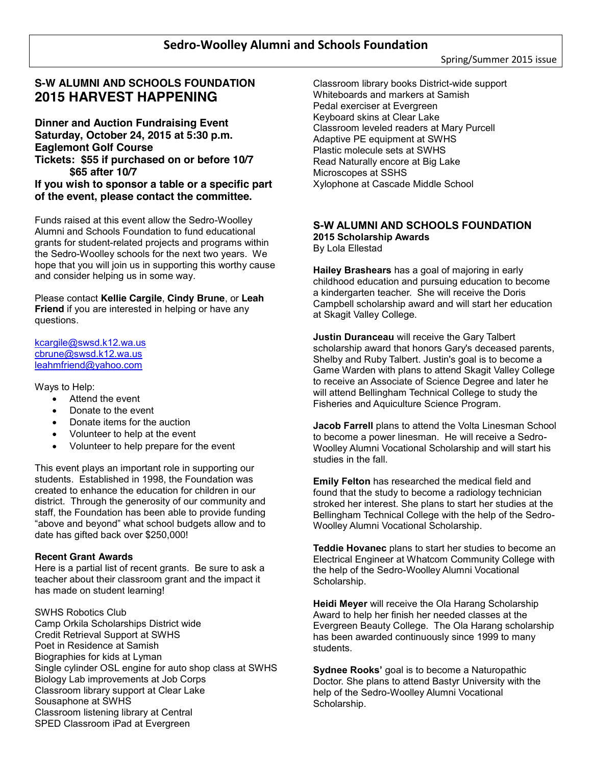## **S-W ALUMNI AND SCHOOLS FOUNDATION 2015 HARVEST HAPPENING**

**Dinner and Auction Fundraising Event Saturday, October 24, 2015 at 5:30 p.m. Eaglemont Golf Course Tickets: \$55 if purchased on or before 10/7 \$65 after 10/7**

**If you wish to sponsor a table or a specific part of the event, please contact the committee.** 

Funds raised at this event allow the Sedro-Woolley Alumni and Schools Foundation to fund educational grants for student-related projects and programs within the Sedro-Woolley schools for the next two years. We hope that you will join us in supporting this worthy cause and consider helping us in some way.

Please contact **Kellie Cargile**, **Cindy Brune**, or **Leah Friend** if you are interested in helping or have any questions.

kcargile@swsd.k12.wa.us cbrune@swsd.k12.wa.us leahmfriend@yahoo.com

Ways to Help:

- Attend the event
- Donate to the event
- Donate items for the auction
- x Volunteer to help at the event
- x Volunteer to help prepare for the event

This event plays an important role in supporting our students. Established in 1998, the Foundation was created to enhance the education for children in our district. Through the generosity of our community and staff, the Foundation has been able to provide funding "above and beyond" what school budgets allow and to date has gifted back over \$250,000!

#### **Recent Grant Awards**

Here is a partial list of recent grants. Be sure to ask a teacher about their classroom grant and the impact it has made on student learning!

SWHS Robotics Club Camp Orkila Scholarships District wide Credit Retrieval Support at SWHS Poet in Residence at Samish Biographies for kids at Lyman Single cylinder OSL engine for auto shop class at SWHS Biology Lab improvements at Job Corps Classroom library support at Clear Lake Sousaphone at SWHS Classroom listening library at Central SPED Classroom iPad at Evergreen

Classroom library books District-wide support Whiteboards and markers at Samish Pedal exerciser at Evergreen Keyboard skins at Clear Lake Classroom leveled readers at Mary Purcell Adaptive PE equipment at SWHS Plastic molecule sets at SWHS Read Naturally encore at Big Lake Microscopes at SSHS Xylophone at Cascade Middle School

## **S-W ALUMNI AND SCHOOLS FOUNDATION**

**2015 Scholarship Awards** By Lola Ellestad

**Hailey Brashears** has a goal of majoring in early childhood education and pursuing education to become a kindergarten teacher. She will receive the Doris Campbell scholarship award and will start her education at Skagit Valley College.

**Justin Duranceau** will receive the Gary Talbert scholarship award that honors Gary's deceased parents, Shelby and Ruby Talbert. Justin's goal is to become a Game Warden with plans to attend Skagit Valley College to receive an Associate of Science Degree and later he will attend Bellingham Technical College to study the Fisheries and Aquiculture Science Program.

**Jacob Farrell** plans to attend the Volta Linesman School to become a power linesman. He will receive a Sedro-Woolley Alumni Vocational Scholarship and will start his studies in the fall.

**Emily Felton** has researched the medical field and found that the study to become a radiology technician stroked her interest. She plans to start her studies at the Bellingham Technical College with the help of the Sedro-Woolley Alumni Vocational Scholarship.

**Teddie Hovanec** plans to start her studies to become an Electrical Engineer at Whatcom Community College with the help of the Sedro-Woolley Alumni Vocational Scholarship.

**Heidi Meyer** will receive the Ola Harang Scholarship Award to help her finish her needed classes at the Evergreen Beauty College. The Ola Harang scholarship has been awarded continuously since 1999 to many students.

**Sydnee Rooks'** goal is to become a Naturopathic Doctor. She plans to attend Bastyr University with the help of the Sedro-Woolley Alumni Vocational Scholarship.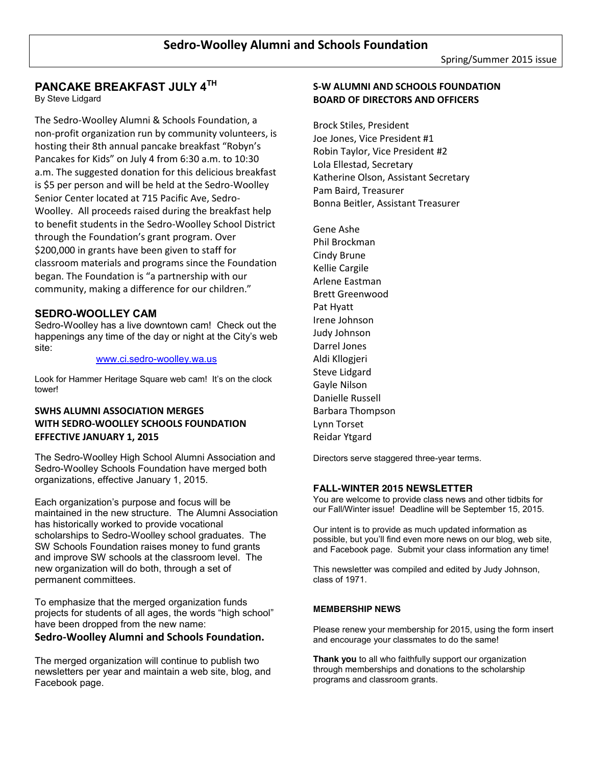# **PANCAKE BREAKFAST JULY 4TH**

By Steve Lidgard

The Sedro-Woolley Alumni & Schools Foundation, a non-profit organization run by community volunteers, is hosting their 8th annual pancake breakfast "Robyn's Pancakes for Kids" on July 4 from 6:30 a.m. to 10:30 a.m. The suggested donation for this delicious breakfast is \$5 per person and will be held at the Sedro-Woolley Senior Center located at 715 Pacific Ave, Sedro-Woolley. All proceeds raised during the breakfast help to benefit students in the Sedro-Woolley School District through the Foundation's grant program. Over \$200,000 in grants have been given to staff for classroom materials and programs since the Foundation began. The Foundation is "a partnership with our community, making a difference for our children."

## **SEDRO-WOOLLEY CAM**

Sedro-Woolley has a live downtown cam! Check out the happenings any time of the day or night at the City's web site:

#### www.ci.sedro-woolley.wa.us

Look for Hammer Heritage Square web cam! It's on the clock tower!

## **SWHS ALUMNI ASSOCIATION MERGES WITH SEDRO-WOOLLEY SCHOOLS FOUNDATION EFFECTIVE JANUARY 1, 2015**

The Sedro-Woolley High School Alumni Association and Sedro-Woolley Schools Foundation have merged both organizations, effective January 1, 2015.

Each organization's purpose and focus will be maintained in the new structure. The Alumni Association has historically worked to provide vocational scholarships to Sedro-Woolley school graduates. The SW Schools Foundation raises money to fund grants and improve SW schools at the classroom level. The new organization will do both, through a set of permanent committees.

To emphasize that the merged organization funds projects for students of all ages, the words "high school" have been dropped from the new name:

#### **Sedro-Woolley Alumni and Schools Foundation.**

The merged organization will continue to publish two newsletters per year and maintain a web site, blog, and Facebook page.

## **S-W ALUMNI AND SCHOOLS FOUNDATION BOARD OF DIRECTORS AND OFFICERS**

Brock Stiles, President Joe Jones, Vice President #1 Robin Taylor, Vice President #2 Lola Ellestad, Secretary Katherine Olson, Assistant Secretary Pam Baird, Treasurer Bonna Beitler, Assistant Treasurer

Gene Ashe Phil Brockman Cindy Brune Kellie Cargile Arlene Eastman Brett Greenwood Pat Hyatt Irene Johnson Judy Johnson Darrel Jones Aldi Kllogjeri Steve Lidgard Gayle Nilson Danielle Russell Barbara Thompson Lynn Torset Reidar Ytgard

Directors serve staggered three-year terms.

#### **FALL-WINTER 2015 NEWSLETTER**

You are welcome to provide class news and other tidbits for our Fall/Winter issue! Deadline will be September 15, 2015.

Our intent is to provide as much updated information as possible, but you'll find even more news on our blog, web site, and Facebook page. Submit your class information any time!

This newsletter was compiled and edited by Judy Johnson, class of 1971.

#### **MEMBERSHIP NEWS**

Please renew your membership for 2015, using the form insert and encourage your classmates to do the same!

**Thank you** to all who faithfully support our organization through memberships and donations to the scholarship programs and classroom grants.